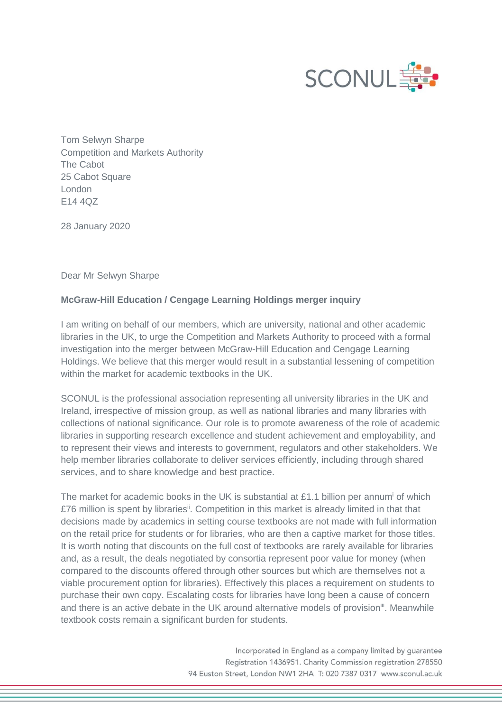

Tom Selwyn Sharpe Competition and Markets Authority The Cabot 25 Cabot Square London E14 4QZ

28 January 2020

Dear Mr Selwyn Sharpe

## **McGraw-Hill Education / Cengage Learning Holdings merger inquiry**

I am writing on behalf of our members, which are university, national and other academic libraries in the UK, to urge the Competition and Markets Authority to proceed with a formal investigation into the merger between McGraw-Hill Education and Cengage Learning Holdings. We believe that this merger would result in a substantial lessening of competition within the market for academic textbooks in the UK.

SCONUL is the professional association representing all university libraries in the UK and Ireland, irrespective of mission group, as well as national libraries and many libraries with collections of national significance. Our role is to promote awareness of the role of academic libraries in supporting research excellence and student achievement and employability, and to represent their views and interests to government, regulators and other stakeholders. We help member libraries collaborate to deliver services efficiently, including through shared services, and to share knowledge and best practice.

The market for academic books in the UK is substantial at £1.1 billion per annum of which £76 million is spent by libraries<sup>ii</sup>. Competition in this market is already limited in that that decisions made by academics in setting course textbooks are not made with full information on the retail price for students or for libraries, who are then a captive market for those titles. It is worth noting that discounts on the full cost of textbooks are rarely available for libraries and, as a result, the deals negotiated by consortia represent poor value for money (when compared to the discounts offered through other sources but which are themselves not a viable procurement option for libraries). Effectively this places a requirement on students to purchase their own copy. Escalating costs for libraries have long been a cause of concern and there is an active debate in the UK around alternative models of provision<sup>iii</sup>. Meanwhile textbook costs remain a significant burden for students.

> Incorporated in England as a company limited by guarantee Registration 1436951. Charity Commission registration 278550 94 Euston Street, London NW1 2HA T: 020 7387 0317 www.sconul.ac.uk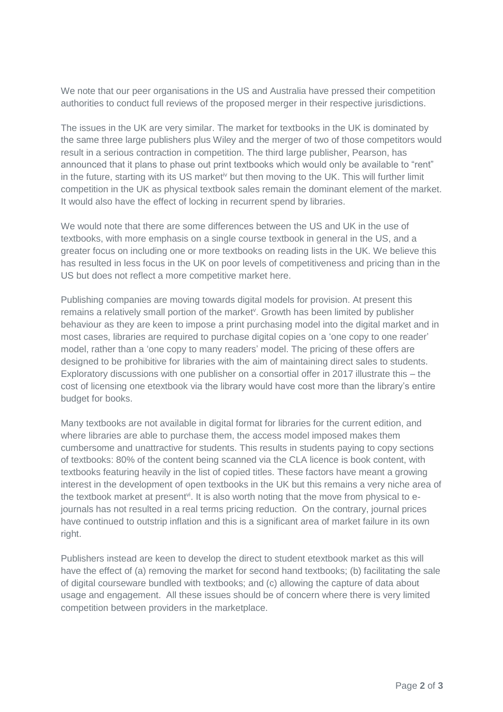We note that our peer organisations in the US and Australia have pressed their competition authorities to conduct full reviews of the proposed merger in their respective jurisdictions.

The issues in the UK are very similar. The market for textbooks in the UK is dominated by the same three large publishers plus Wiley and the merger of two of those competitors would result in a serious contraction in competition. The third large publisher, Pearson, has announced that it plans to phase out print textbooks which would only be available to "rent" in the future, starting with its US market<sup>iv</sup> but then moving to the UK. This will further limit competition in the UK as physical textbook sales remain the dominant element of the market. It would also have the effect of locking in recurrent spend by libraries.

We would note that there are some differences between the US and UK in the use of textbooks, with more emphasis on a single course textbook in general in the US, and a greater focus on including one or more textbooks on reading lists in the UK. We believe this has resulted in less focus in the UK on poor levels of competitiveness and pricing than in the US but does not reflect a more competitive market here.

Publishing companies are moving towards digital models for provision. At present this remains a relatively small portion of the market<sup>y</sup>. Growth has been limited by publisher behaviour as they are keen to impose a print purchasing model into the digital market and in most cases, libraries are required to purchase digital copies on a 'one copy to one reader' model, rather than a 'one copy to many readers' model. The pricing of these offers are designed to be prohibitive for libraries with the aim of maintaining direct sales to students. Exploratory discussions with one publisher on a consortial offer in 2017 illustrate this – the cost of licensing one etextbook via the library would have cost more than the library's entire budget for books.

Many textbooks are not available in digital format for libraries for the current edition, and where libraries are able to purchase them, the access model imposed makes them cumbersome and unattractive for students. This results in students paying to copy sections of textbooks: 80% of the content being scanned via the CLA licence is book content, with textbooks featuring heavily in the list of copied titles. These factors have meant a growing interest in the development of open textbooks in the UK but this remains a very niche area of the textbook market at present<sup>vi</sup>. It is also worth noting that the move from physical to ejournals has not resulted in a real terms pricing reduction. On the contrary, journal prices have continued to outstrip inflation and this is a significant area of market failure in its own right.

Publishers instead are keen to develop the direct to student etextbook market as this will have the effect of (a) removing the market for second hand textbooks; (b) facilitating the sale of digital courseware bundled with textbooks; and (c) allowing the capture of data about usage and engagement. All these issues should be of concern where there is very limited competition between providers in the marketplace.